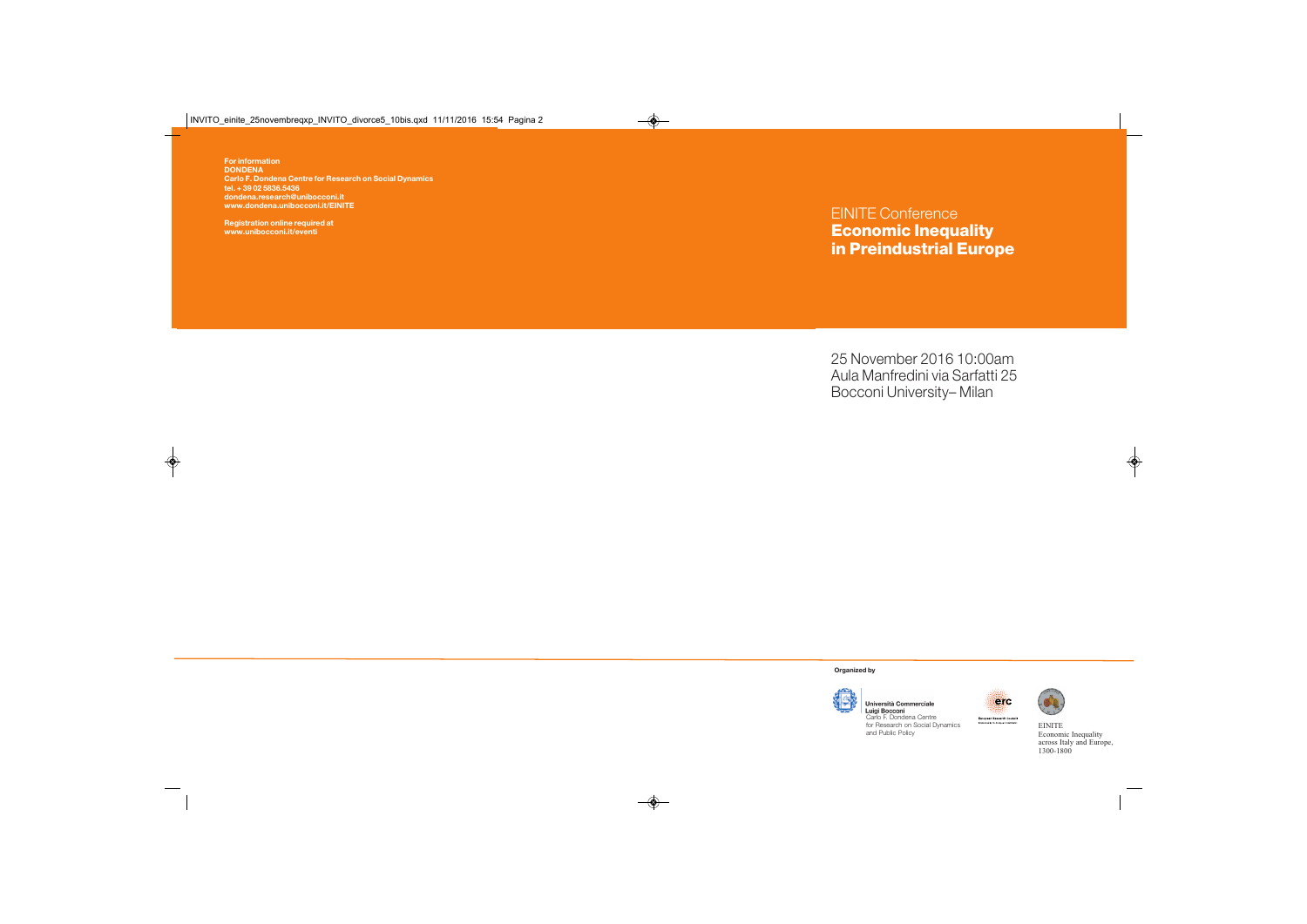**For information DONDENA Carlo F. Dondena Centre for Research on Social Dynamics tel. + 39 02 5836.5436 dondena.research@unibocconi.it www.dondena.unibocconi.it/EINITE**

**Registration online required at www.unibocconi.it/eventi**

## EINITE Conference **Economic Inequality in Preindustrial Europe**

25 November 2016 10:00am Aula Manfredini via Sarfatti 25 Bocconi University– Milan

**Organized by**



Università Commerciale Luigi Bocconi Carlo F. Dondena Centre for Research on Social Dynamics

and Public Policy



EINITE Economic Inequality across Italy and Europe, 1300-1800